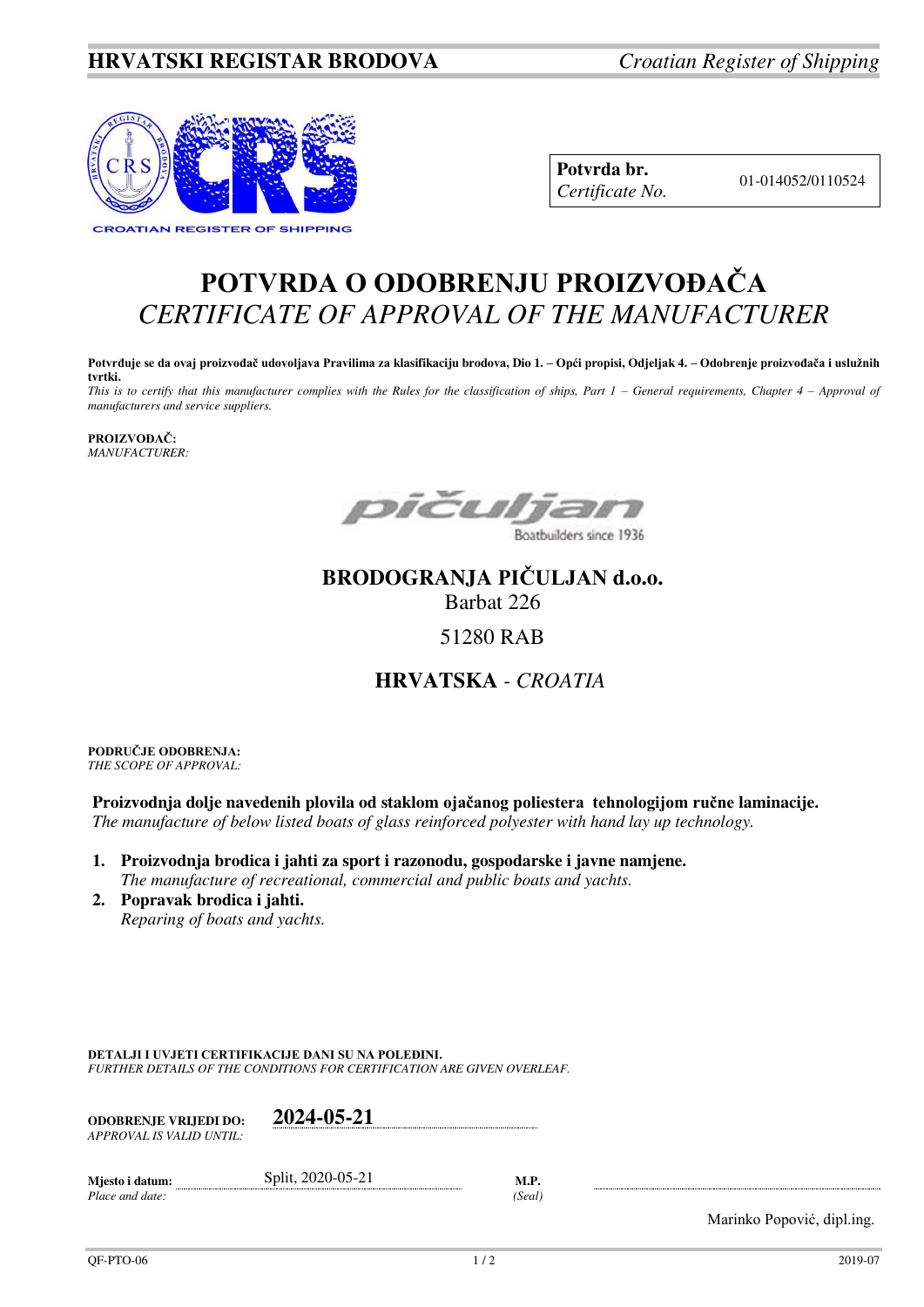## **HRVATSKI REGISTAR BRODOVA** *Croatian Register of Shipping*



**Potvrda br.**  01-014052/0110524 *Certificate No.* 

## **POTVRDA O ODOBRENJU PROIZVOĐAČA** *CERTIFICATE OF APPROVAL OF THE MANUFACTURER*

**Potvrđuje se da ovaj proizvođač udovoljava Pravilima za klasifikaciju brodova, Dio 1. – Opći propisi, Odjeljak 4. – Odobrenje proizvođača i uslužnih tvrtki.** 

*This is to certify that this manufacturer complies with the Rules for the classification of ships, Part 1 – General requirements, Chapter 4 – Approval of manufacturers and service suppliers.* 

**PROIZVOĐAČ:** *MANUFACTURER:*

DICUlTa

Boatbuilders since 1936

## **BRODOGRANJA PIČULJAN d.o.o.**

Barbat 226

51280 RAB

## **HRVATSKA** *- CROATIA*

**PODRUČJE ODOBRENJA:** *THE SCOPE OF APPROVAL:* 

**Proizvodnja dolje navedenih plovila od staklom ojačanog poliestera tehnologijom ručne laminacije.**  *The manufacture of below listed boats of glass reinforced polyester with hand lay up technology.* 

- **1. Proizvodnja brodica i jahti za sport i razonodu, gospodarske i javne namjene.**   *The manufacture of recreational, commercial and public boats and yachts.*
- **2. Popravak brodica i jahti.**   *Reparing of boats and yachts.*

**DETALJI I UVJETI CERTIFIKACIJE DANI SU NA POLEĐINI.**

*FURTHER DETAILS OF THE CONDITIONS FOR CERTIFICATION ARE GIVEN OVERLEAF.* 

| <b>ODOBRENJE VRLIEDI DO:</b><br>APPROVAL IS VALID UNTIL: | 2024-05-21        |        |
|----------------------------------------------------------|-------------------|--------|
| Miesto i datum:                                          | Split, 2020-05-21 | M.P.   |
| Place and date:                                          |                   | (Seal) |

Marinko Popović, dipl.ing.